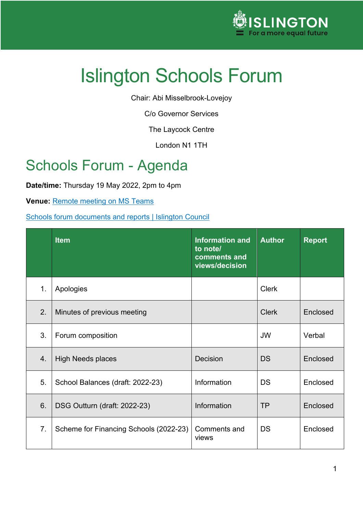

Chair: Abi Misselbrook-Lovejoy

C/o Governor Services

The Laycock Centre

London N1 1TH

# Schools Forum - Agenda

**Date/time:** Thursday 19 May 2022, 2pm to 4pm

**Venue: [Remote meeting on MS Teams](https://teams.microsoft.com/l/meetup-join/19%3ameeting_ZmNiM2EyODEtNjFiMy00ZDg1LWE0NDItZmI5MzMxOGI4YWU4%40thread.v2/0?context=%7b%22Tid%22%3a%225513a223-7abe-42d3-b161-c06abc51cb2e%22%2c%22Oid%22%3a%22e1296230-af54-4c55-a827-9071ca9c625c%22%7d)** 

[Schools forum documents and reports | Islington Council](https://www.islington.gov.uk/Children-and-families/Schools/Schools-forum/School-forum-documents-and-reports)

|               | <b>Item</b>                            | <b>Information and</b><br>to note/<br>comments and<br>views/decision | <b>Author</b> | <b>Report</b> |
|---------------|----------------------------------------|----------------------------------------------------------------------|---------------|---------------|
| $\mathbf 1$ . | Apologies                              |                                                                      | <b>Clerk</b>  |               |
| 2.            | Minutes of previous meeting            |                                                                      | <b>Clerk</b>  | Enclosed      |
| 3.            | Forum composition                      |                                                                      | <b>JW</b>     | Verbal        |
| 4.            | <b>High Needs places</b>               | Decision                                                             | <b>DS</b>     | Enclosed      |
| 5.            | School Balances (draft: 2022-23)       | Information                                                          | <b>DS</b>     | Enclosed      |
| 6.            | DSG Outturn (draft: 2022-23)           | Information                                                          | <b>TP</b>     | Enclosed      |
| 7.            | Scheme for Financing Schools (2022-23) | Comments and<br>views                                                | <b>DS</b>     | Enclosed      |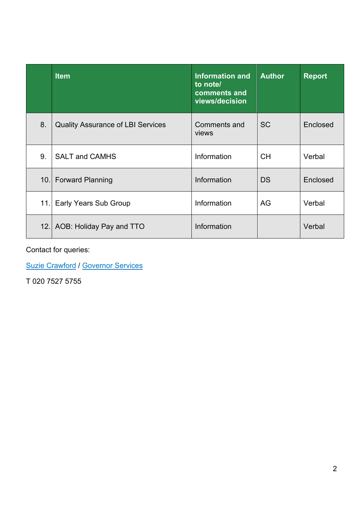|    | <b>Item</b>                              | <b>Information and</b><br>to note/<br>comments and<br>views/decision | <b>Author</b> | <b>Report</b> |
|----|------------------------------------------|----------------------------------------------------------------------|---------------|---------------|
| 8. | <b>Quality Assurance of LBI Services</b> | Comments and<br>views                                                | <b>SC</b>     | Enclosed      |
| 9. | <b>SALT and CAMHS</b>                    | Information                                                          | CH.           | Verbal        |
|    | 10. Forward Planning                     | Information                                                          | <b>DS</b>     | Enclosed      |
|    | 11. Early Years Sub Group                | Information                                                          | AG            | Verbal        |
|    | 12. AOB: Holiday Pay and TTO             | Information                                                          |               | Verbal        |

Contact for queries:

[Suzie Crawford](mailto:suzie.crawford@islington.gov.uk) / [Governor Services](mailto:Governor.Services@islington.gov.uk)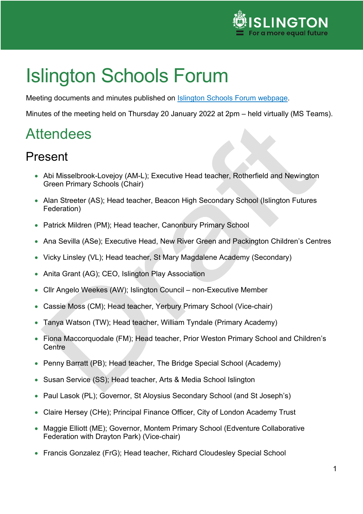

Meeting documents and minutes published on [Islington Schools Forum webpage.](https://www.islington.gov.uk/Children-and-families/Schools/Schools-forum/School-forum-documents-and-reports)

Minutes of the meeting held on Thursday 20 January 2022 at 2pm – held virtually (MS Teams).

# **Attendees**

## Present

- Abi Misselbrook-Lovejoy (AM-L); Executive Head teacher, Rotherfield and Newington Green Primary Schools (Chair)
- Alan Streeter (AS); Head teacher, Beacon High Secondary School (Islington Futures Federation)
- Patrick Mildren (PM); Head teacher, Canonbury Primary School
- Ana Sevilla (ASe); Executive Head, New River Green and Packington Children's Centres
- Vicky Linsley (VL); Head teacher, St Mary Magdalene Academy (Secondary)
- Anita Grant (AG); CEO, Islington Play Association
- Cllr Angelo Weekes (AW); Islington Council non-Executive Member
- Cassie Moss (CM); Head teacher, Yerbury Primary School (Vice-chair)
- Tanya Watson (TW); Head teacher, William Tyndale (Primary Academy)
- Fiona Maccorquodale (FM); Head teacher, Prior Weston Primary School and Children's **Centre**
- Penny Barratt (PB); Head teacher, The Bridge Special School (Academy)
- Susan Service (SS); Head teacher, Arts & Media School Islington
- Paul Lasok (PL); Governor, St Aloysius Secondary School (and St Joseph's)
- Claire Hersey (CHe); Principal Finance Officer, City of London Academy Trust
- Maggie Elliott (ME); Governor, Montem Primary School (Edventure Collaborative Federation with Drayton Park) (Vice-chair)
- Francis Gonzalez (FrG); Head teacher, Richard Cloudesley Special School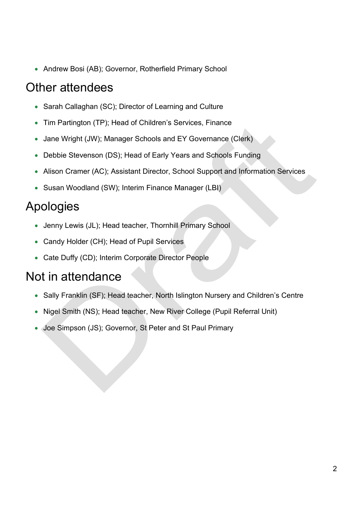• Andrew Bosi (AB); Governor, Rotherfield Primary School

### Other attendees

- Sarah Callaghan (SC); Director of Learning and Culture
- Tim Partington (TP); Head of Children's Services, Finance
- Jane Wright (JW); Manager Schools and EY Governance (Clerk)
- Debbie Stevenson (DS); Head of Early Years and Schools Funding
- Alison Cramer (AC); Assistant Director, School Support and Information Services
- Susan Woodland (SW); Interim Finance Manager (LBI)

## Apologies

- Jenny Lewis (JL); Head teacher, Thornhill Primary School
- Candy Holder (CH); Head of Pupil Services
- Cate Duffy (CD); Interim Corporate Director People

### Not in attendance

- Sally Franklin (SF); Head teacher, North Islington Nursery and Children's Centre
- Nigel Smith (NS); Head teacher, New River College (Pupil Referral Unit)
- Joe Simpson (JS); Governor, St Peter and St Paul Primary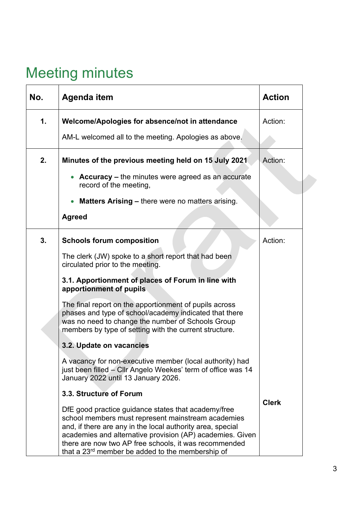# Meeting minutes

| No. | <b>Agenda item</b>                                                                                                                                                                                                                                                                                                                                            | <b>Action</b> |
|-----|---------------------------------------------------------------------------------------------------------------------------------------------------------------------------------------------------------------------------------------------------------------------------------------------------------------------------------------------------------------|---------------|
| 1.  | Welcome/Apologies for absence/not in attendance                                                                                                                                                                                                                                                                                                               | Action:       |
|     | AM-L welcomed all to the meeting. Apologies as above.                                                                                                                                                                                                                                                                                                         |               |
| 2.  | Minutes of the previous meeting held on 15 July 2021                                                                                                                                                                                                                                                                                                          | Action:       |
|     | <b>Accuracy – the minutes were agreed as an accurate</b><br>record of the meeting,                                                                                                                                                                                                                                                                            |               |
|     | <b>Matters Arising – there were no matters arising.</b>                                                                                                                                                                                                                                                                                                       |               |
|     | <b>Agreed</b>                                                                                                                                                                                                                                                                                                                                                 |               |
| 3.  | <b>Schools forum composition</b>                                                                                                                                                                                                                                                                                                                              | Action:       |
|     | The clerk (JW) spoke to a short report that had been<br>circulated prior to the meeting.                                                                                                                                                                                                                                                                      |               |
|     | 3.1. Apportionment of places of Forum in line with<br>apportionment of pupils                                                                                                                                                                                                                                                                                 |               |
|     | The final report on the apportionment of pupils across<br>phases and type of school/academy indicated that there<br>was no need to change the number of Schools Group<br>members by type of setting with the current structure.                                                                                                                               |               |
|     | 3.2. Update on vacancies                                                                                                                                                                                                                                                                                                                                      |               |
|     | A vacancy for non-executive member (local authority) had<br>just been filled – Cllr Angelo Weekes' term of office was 14<br>January 2022 until 13 January 2026.                                                                                                                                                                                               |               |
|     | 3.3. Structure of Forum                                                                                                                                                                                                                                                                                                                                       |               |
|     | DfE good practice guidance states that academy/free<br>school members must represent mainstream academies<br>and, if there are any in the local authority area, special<br>academies and alternative provision (AP) academies. Given<br>there are now two AP free schools, it was recommended<br>that a 23 <sup>rd</sup> member be added to the membership of | <b>Clerk</b>  |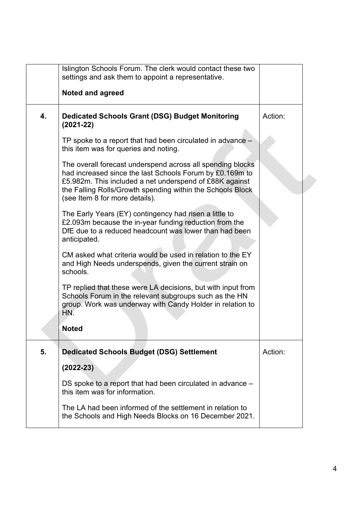|    | Islington Schools Forum. The clerk would contact these two<br>settings and ask them to appoint a representative.                                                                                                                                                                  |         |
|----|-----------------------------------------------------------------------------------------------------------------------------------------------------------------------------------------------------------------------------------------------------------------------------------|---------|
|    | <b>Noted and agreed</b>                                                                                                                                                                                                                                                           |         |
| 4. | <b>Dedicated Schools Grant (DSG) Budget Monitoring</b><br>$(2021-22)$                                                                                                                                                                                                             | Action: |
|    | TP spoke to a report that had been circulated in advance –<br>this item was for queries and noting.                                                                                                                                                                               |         |
|    | The overall forecast underspend across all spending blocks<br>had increased since the last Schools Forum by £0.169m to<br>£5.982m. This included a net underspend of £88K against<br>the Falling Rolls/Growth spending within the Schools Block<br>(see Item 8 for more details). |         |
|    | The Early Years (EY) contingency had risen a little to<br>£2.093m because the in-year funding reduction from the<br>DfE due to a reduced headcount was lower than had been<br>anticipated.                                                                                        |         |
|    | CM asked what criteria would be used in relation to the EY<br>and High Needs underspends, given the current strain on<br>schools.                                                                                                                                                 |         |
|    | TP replied that these were LA decisions, but with input from<br>Schools Forum in the relevant subgroups such as the HN<br>group. Work was underway with Candy Holder in relation to<br>HN.                                                                                        |         |
|    | <b>Noted</b>                                                                                                                                                                                                                                                                      |         |
| 5. | <b>Dedicated Schools Budget (DSG) Settlement</b>                                                                                                                                                                                                                                  | Action: |
|    | $(2022 - 23)$                                                                                                                                                                                                                                                                     |         |
|    | DS spoke to a report that had been circulated in advance -<br>this item was for information.                                                                                                                                                                                      |         |
|    | The LA had been informed of the settlement in relation to<br>the Schools and High Needs Blocks on 16 December 2021.                                                                                                                                                               |         |
|    |                                                                                                                                                                                                                                                                                   |         |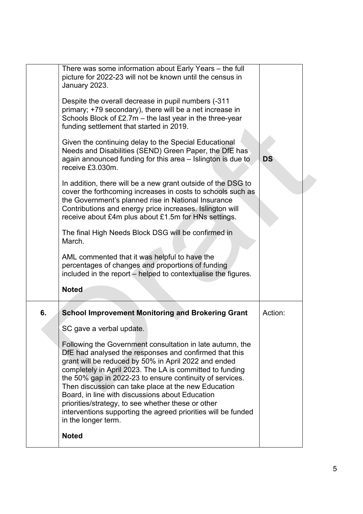|    | There was some information about Early Years - the full<br>picture for 2022-23 will not be known until the census in<br>January 2023.<br>Despite the overall decrease in pupil numbers (-311<br>primary; +79 secondary), there will be a net increase in<br>Schools Block of £2.7m - the last year in the three-year<br>funding settlement that started in 2019.<br>Given the continuing delay to the Special Educational<br>Needs and Disabilities (SEND) Green Paper, the DfE has<br>again announced funding for this area – Islington is due to<br>receive £3.030m.<br>In addition, there will be a new grant outside of the DSG to<br>cover the forthcoming increases in costs to schools such as<br>the Government's planned rise in National Insurance<br>Contributions and energy price increases. Islington will<br>receive about £4m plus about £1.5m for HNs settings.<br>The final High Needs Block DSG will be confirmed in<br>March.<br>AML commented that it was helpful to have the<br>percentages of changes and proportions of funding<br>included in the report – helped to contextualise the figures.<br><b>Noted</b> | <b>DS</b> |  |
|----|------------------------------------------------------------------------------------------------------------------------------------------------------------------------------------------------------------------------------------------------------------------------------------------------------------------------------------------------------------------------------------------------------------------------------------------------------------------------------------------------------------------------------------------------------------------------------------------------------------------------------------------------------------------------------------------------------------------------------------------------------------------------------------------------------------------------------------------------------------------------------------------------------------------------------------------------------------------------------------------------------------------------------------------------------------------------------------------------------------------------------------------|-----------|--|
| 6. | <b>School Improvement Monitoring and Brokering Grant</b><br>SC gave a verbal update.<br>Following the Government consultation in late autumn, the<br>DfE had analysed the responses and confirmed that this<br>grant will be reduced by 50% in April 2022 and ended<br>completely in April 2023. The LA is committed to funding<br>the 50% gap in 2022-23 to ensure continuity of services.<br>Then discussion can take place at the new Education<br>Board, in line with discussions about Education<br>priorities/strategy, to see whether these or other<br>interventions supporting the agreed priorities will be funded<br>in the longer term.<br><b>Noted</b>                                                                                                                                                                                                                                                                                                                                                                                                                                                                      | Action:   |  |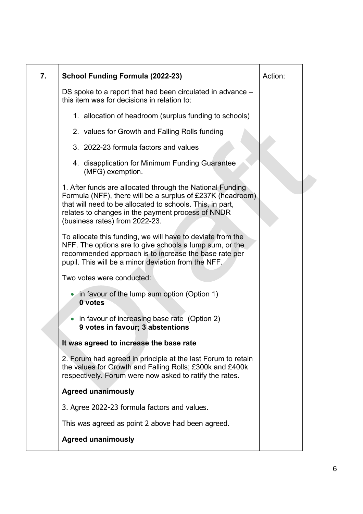| 7. | <b>School Funding Formula (2022-23)</b>                                                                                                                                                                                                                                     | Action: |
|----|-----------------------------------------------------------------------------------------------------------------------------------------------------------------------------------------------------------------------------------------------------------------------------|---------|
|    | DS spoke to a report that had been circulated in advance –<br>this item was for decisions in relation to:                                                                                                                                                                   |         |
|    | 1. allocation of headroom (surplus funding to schools)                                                                                                                                                                                                                      |         |
|    | 2. values for Growth and Falling Rolls funding                                                                                                                                                                                                                              |         |
|    | 3. 2022-23 formula factors and values                                                                                                                                                                                                                                       |         |
|    | 4. disapplication for Minimum Funding Guarantee<br>(MFG) exemption.                                                                                                                                                                                                         |         |
|    | 1. After funds are allocated through the National Funding<br>Formula (NFF), there will be a surplus of £237K (headroom)<br>that will need to be allocated to schools. This, in part,<br>relates to changes in the payment process of NNDR<br>(business rates) from 2022-23. |         |
|    | To allocate this funding, we will have to deviate from the<br>NFF. The options are to give schools a lump sum, or the<br>recommended approach is to increase the base rate per<br>pupil. This will be a minor deviation from the NFF.                                       |         |
|    | Two votes were conducted:                                                                                                                                                                                                                                                   |         |
|    | in favour of the lump sum option (Option 1)<br>0 votes                                                                                                                                                                                                                      |         |
|    | in favour of increasing base rate (Option 2)<br>9 votes in favour; 3 abstentions                                                                                                                                                                                            |         |
|    | It was agreed to increase the base rate                                                                                                                                                                                                                                     |         |
|    | 2. Forum had agreed in principle at the last Forum to retain<br>the values for Growth and Falling Rolls; £300k and £400k<br>respectively. Forum were now asked to ratify the rates.                                                                                         |         |
|    | <b>Agreed unanimously</b>                                                                                                                                                                                                                                                   |         |
|    | 3. Agree 2022-23 formula factors and values.                                                                                                                                                                                                                                |         |
|    | This was agreed as point 2 above had been agreed.                                                                                                                                                                                                                           |         |
|    | <b>Agreed unanimously</b>                                                                                                                                                                                                                                                   |         |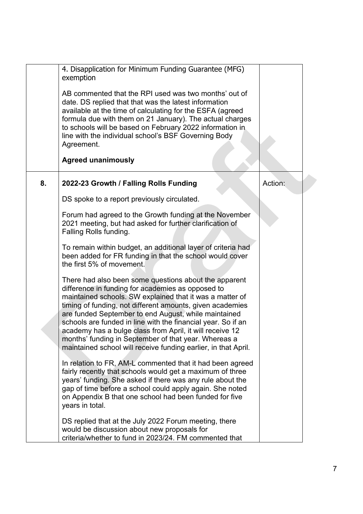|    | 4. Disapplication for Minimum Funding Guarantee (MFG)<br>exemption                                                                                                                                                                                                                                                                                                                                                                                                                                                                                |         |
|----|---------------------------------------------------------------------------------------------------------------------------------------------------------------------------------------------------------------------------------------------------------------------------------------------------------------------------------------------------------------------------------------------------------------------------------------------------------------------------------------------------------------------------------------------------|---------|
|    | AB commented that the RPI used was two months' out of<br>date. DS replied that that was the latest information<br>available at the time of calculating for the ESFA (agreed<br>formula due with them on 21 January). The actual charges<br>to schools will be based on February 2022 information in<br>line with the individual school's BSF Governing Body<br>Agreement.                                                                                                                                                                         |         |
|    | <b>Agreed unanimously</b>                                                                                                                                                                                                                                                                                                                                                                                                                                                                                                                         |         |
| 8. | 2022-23 Growth / Falling Rolls Funding                                                                                                                                                                                                                                                                                                                                                                                                                                                                                                            | Action: |
|    | DS spoke to a report previously circulated.                                                                                                                                                                                                                                                                                                                                                                                                                                                                                                       |         |
|    | Forum had agreed to the Growth funding at the November<br>2021 meeting, but had asked for further clarification of<br>Falling Rolls funding.                                                                                                                                                                                                                                                                                                                                                                                                      |         |
|    | To remain within budget, an additional layer of criteria had<br>been added for FR funding in that the school would cover<br>the first 5% of movement.                                                                                                                                                                                                                                                                                                                                                                                             |         |
|    | There had also been some questions about the apparent<br>difference in funding for academies as opposed to<br>maintained schools. SW explained that it was a matter of<br>timing of funding, not different amounts, given academies<br>are funded September to end August, while maintained<br>schools are funded in line with the financial year. So if an<br>academy has a bulge class from April, it will receive 12<br>months' funding in September of that year. Whereas a<br>maintained school will receive funding earlier, in that April. |         |
|    | In relation to FR, AM-L commented that it had been agreed<br>fairly recently that schools would get a maximum of three<br>years' funding. She asked if there was any rule about the<br>gap of time before a school could apply again. She noted<br>on Appendix B that one school had been funded for five<br>years in total.                                                                                                                                                                                                                      |         |
|    | DS replied that at the July 2022 Forum meeting, there<br>would be discussion about new proposals for<br>criteria/whether to fund in 2023/24. FM commented that                                                                                                                                                                                                                                                                                                                                                                                    |         |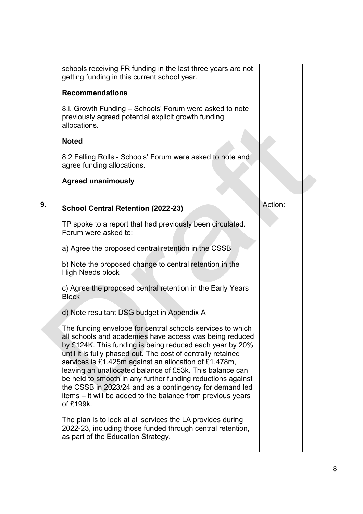|    | schools receiving FR funding in the last three years are not<br>getting funding in this current school year.                                                                                                                                                                                                                                                                                                                                                                                                                                                                 |         |
|----|------------------------------------------------------------------------------------------------------------------------------------------------------------------------------------------------------------------------------------------------------------------------------------------------------------------------------------------------------------------------------------------------------------------------------------------------------------------------------------------------------------------------------------------------------------------------------|---------|
|    | <b>Recommendations</b>                                                                                                                                                                                                                                                                                                                                                                                                                                                                                                                                                       |         |
|    | 8.i. Growth Funding – Schools' Forum were asked to note<br>previously agreed potential explicit growth funding<br>allocations.                                                                                                                                                                                                                                                                                                                                                                                                                                               |         |
|    | <b>Noted</b>                                                                                                                                                                                                                                                                                                                                                                                                                                                                                                                                                                 |         |
|    | 8.2 Falling Rolls - Schools' Forum were asked to note and<br>agree funding allocations.                                                                                                                                                                                                                                                                                                                                                                                                                                                                                      |         |
|    | <b>Agreed unanimously</b>                                                                                                                                                                                                                                                                                                                                                                                                                                                                                                                                                    |         |
| 9. | <b>School Central Retention (2022-23)</b>                                                                                                                                                                                                                                                                                                                                                                                                                                                                                                                                    | Action: |
|    | TP spoke to a report that had previously been circulated.<br>Forum were asked to:                                                                                                                                                                                                                                                                                                                                                                                                                                                                                            |         |
|    | a) Agree the proposed central retention in the CSSB                                                                                                                                                                                                                                                                                                                                                                                                                                                                                                                          |         |
|    | b) Note the proposed change to central retention in the<br><b>High Needs block</b>                                                                                                                                                                                                                                                                                                                                                                                                                                                                                           |         |
|    | c) Agree the proposed central retention in the Early Years<br><b>Block</b>                                                                                                                                                                                                                                                                                                                                                                                                                                                                                                   |         |
|    | d) Note resultant DSG budget in Appendix A                                                                                                                                                                                                                                                                                                                                                                                                                                                                                                                                   |         |
|    | The funding envelope for central schools services to which<br>all schools and academies have access was being reduced<br>by £124K. This funding is being reduced each year by 20%<br>until it is fully phased out. The cost of centrally retained<br>services is £1.425m against an allocation of £1.478m,<br>leaving an unallocated balance of £53k. This balance can<br>be held to smooth in any further funding reductions against<br>the CSSB in 2023/24 and as a contingency for demand led<br>items – it will be added to the balance from previous years<br>of £199k. |         |
|    | The plan is to look at all services the LA provides during<br>2022-23, including those funded through central retention,<br>as part of the Education Strategy.                                                                                                                                                                                                                                                                                                                                                                                                               |         |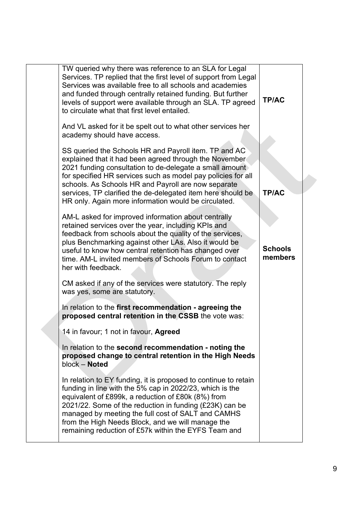| TW queried why there was reference to an SLA for Legal<br>Services. TP replied that the first level of support from Legal<br>Services was available free to all schools and academies<br>and funded through centrally retained funding. But further<br>levels of support were available through an SLA. TP agreed<br>to circulate what that first level entailed.                                                        | <b>TP/AC</b>              |
|--------------------------------------------------------------------------------------------------------------------------------------------------------------------------------------------------------------------------------------------------------------------------------------------------------------------------------------------------------------------------------------------------------------------------|---------------------------|
| And VL asked for it be spelt out to what other services her<br>academy should have access.                                                                                                                                                                                                                                                                                                                               |                           |
| SS queried the Schools HR and Payroll item. TP and AC<br>explained that it had been agreed through the November<br>2021 funding consultation to de-delegate a small amount<br>for specified HR services such as model pay policies for all<br>schools. As Schools HR and Payroll are now separate<br>services, TP clarified the de-delegated item here should be<br>HR only. Again more information would be circulated. | <b>TP/AC</b>              |
| AM-L asked for improved information about centrally<br>retained services over the year, including KPIs and<br>feedback from schools about the quality of the services,<br>plus Benchmarking against other LAs. Also it would be<br>useful to know how central retention has changed over<br>time. AM-L invited members of Schools Forum to contact<br>her with feedback.                                                 | <b>Schools</b><br>members |
| CM asked if any of the services were statutory. The reply<br>was yes, some are statutory.                                                                                                                                                                                                                                                                                                                                |                           |
| In relation to the first recommendation - agreeing the<br>proposed central retention in the CSSB the vote was:                                                                                                                                                                                                                                                                                                           |                           |
| 14 in favour; 1 not in favour, Agreed                                                                                                                                                                                                                                                                                                                                                                                    |                           |
| In relation to the second recommendation - noting the<br>proposed change to central retention in the High Needs<br>block - Noted                                                                                                                                                                                                                                                                                         |                           |
| In relation to EY funding, it is proposed to continue to retain<br>funding in line with the 5% cap in 2022/23, which is the<br>equivalent of £899k, a reduction of £80k (8%) from<br>2021/22. Some of the reduction in funding (£23K) can be<br>managed by meeting the full cost of SALT and CAMHS<br>from the High Needs Block, and we will manage the<br>remaining reduction of £57k within the EYFS Team and          |                           |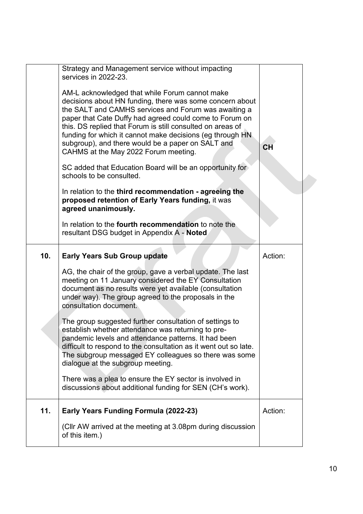|     | Strategy and Management service without impacting<br>services in 2022-23.                                                                                                                                                                                                                                                                                                                                                                             |           |
|-----|-------------------------------------------------------------------------------------------------------------------------------------------------------------------------------------------------------------------------------------------------------------------------------------------------------------------------------------------------------------------------------------------------------------------------------------------------------|-----------|
|     | AM-L acknowledged that while Forum cannot make<br>decisions about HN funding, there was some concern about<br>the SALT and CAMHS services and Forum was awaiting a<br>paper that Cate Duffy had agreed could come to Forum on<br>this. DS replied that Forum is still consulted on areas of<br>funding for which it cannot make decisions (eg through HN<br>subgroup), and there would be a paper on SALT and<br>CAHMS at the May 2022 Forum meeting. | <b>CH</b> |
|     | SC added that Education Board will be an opportunity for<br>schools to be consulted.                                                                                                                                                                                                                                                                                                                                                                  |           |
|     | In relation to the third recommendation - agreeing the<br>proposed retention of Early Years funding, it was<br>agreed unanimously.                                                                                                                                                                                                                                                                                                                    |           |
|     | In relation to the <b>fourth recommendation</b> to note the<br>resultant DSG budget in Appendix A - Noted                                                                                                                                                                                                                                                                                                                                             |           |
| 10. | <b>Early Years Sub Group update</b>                                                                                                                                                                                                                                                                                                                                                                                                                   | Action:   |
|     | AG, the chair of the group, gave a verbal update. The last<br>meeting on 11 January considered the EY Consultation<br>document as no results were yet available (consultation<br>under way). The group agreed to the proposals in the<br>consultation document.                                                                                                                                                                                       |           |
|     | The group suggested further consultation of settings to<br>establish whether attendance was returning to pre-<br>pandemic levels and attendance patterns. It had been<br>difficult to respond to the consultation as it went out so late.<br>The subgroup messaged EY colleagues so there was some<br>dialogue at the subgroup meeting.                                                                                                               |           |
|     | There was a plea to ensure the EY sector is involved in<br>discussions about additional funding for SEN (CH's work).                                                                                                                                                                                                                                                                                                                                  |           |
| 11. | Early Years Funding Formula (2022-23)                                                                                                                                                                                                                                                                                                                                                                                                                 | Action:   |
|     | (CIIr AW arrived at the meeting at 3.08pm during discussion<br>of this item.)                                                                                                                                                                                                                                                                                                                                                                         |           |
|     |                                                                                                                                                                                                                                                                                                                                                                                                                                                       |           |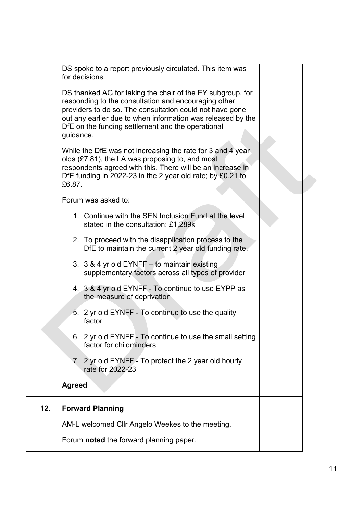|     | DS spoke to a report previously circulated. This item was<br>for decisions.                                                                                                                                                                                                                                     |  |
|-----|-----------------------------------------------------------------------------------------------------------------------------------------------------------------------------------------------------------------------------------------------------------------------------------------------------------------|--|
|     | DS thanked AG for taking the chair of the EY subgroup, for<br>responding to the consultation and encouraging other<br>providers to do so. The consultation could not have gone<br>out any earlier due to when information was released by the<br>DfE on the funding settlement and the operational<br>guidance. |  |
|     | While the DfE was not increasing the rate for 3 and 4 year<br>olds (£7.81), the LA was proposing to, and most<br>respondents agreed with this. There will be an increase in<br>DfE funding in 2022-23 in the 2 year old rate; by £0.21 to<br>£6.87.                                                             |  |
|     | Forum was asked to:                                                                                                                                                                                                                                                                                             |  |
|     | 1. Continue with the SEN Inclusion Fund at the level<br>stated in the consultation; £1,289k                                                                                                                                                                                                                     |  |
|     | 2. To proceed with the disapplication process to the<br>DfE to maintain the current 2 year old funding rate.                                                                                                                                                                                                    |  |
|     | 3. 3 & 4 yr old EYNFF - to maintain existing<br>supplementary factors across all types of provider                                                                                                                                                                                                              |  |
|     | 4. 3 & 4 yr old EYNFF - To continue to use EYPP as<br>the measure of deprivation                                                                                                                                                                                                                                |  |
|     | 5. 2 yr old EYNFF - To continue to use the quality<br>factor                                                                                                                                                                                                                                                    |  |
|     | 6. 2 yr old EYNFF - To continue to use the small setting<br>factor for childminders                                                                                                                                                                                                                             |  |
|     | 7. 2 yr old EYNFF - To protect the 2 year old hourly<br>rate for 2022-23                                                                                                                                                                                                                                        |  |
|     | <b>Agreed</b>                                                                                                                                                                                                                                                                                                   |  |
| 12. | <b>Forward Planning</b>                                                                                                                                                                                                                                                                                         |  |
|     | AM-L welcomed Cllr Angelo Weekes to the meeting.                                                                                                                                                                                                                                                                |  |
|     | Forum noted the forward planning paper.                                                                                                                                                                                                                                                                         |  |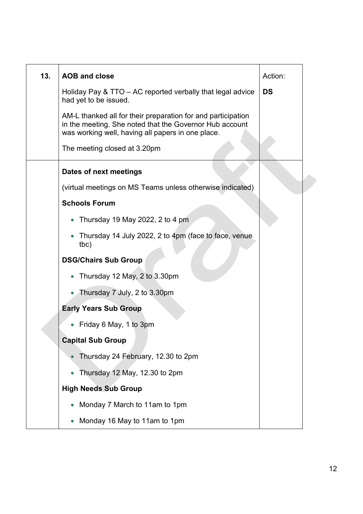| 13. | <b>AOB and close</b>                                                                                                                                                         | Action:   |  |
|-----|------------------------------------------------------------------------------------------------------------------------------------------------------------------------------|-----------|--|
|     | Holiday Pay & TTO – AC reported verbally that legal advice<br>had yet to be issued.                                                                                          | <b>DS</b> |  |
|     | AM-L thanked all for their preparation for and participation<br>in the meeting. She noted that the Governor Hub account<br>was working well, having all papers in one place. |           |  |
|     | The meeting closed at 3.20pm                                                                                                                                                 |           |  |
|     | Dates of next meetings                                                                                                                                                       |           |  |
|     | (virtual meetings on MS Teams unless otherwise indicated)                                                                                                                    |           |  |
|     | <b>Schools Forum</b>                                                                                                                                                         |           |  |
|     | • Thursday 19 May 2022, 2 to 4 pm                                                                                                                                            |           |  |
|     | Thursday 14 July 2022, 2 to 4pm (face to face, venue<br>tbc)                                                                                                                 |           |  |
|     | <b>DSG/Chairs Sub Group</b>                                                                                                                                                  |           |  |
|     | Thursday 12 May, 2 to 3.30pm                                                                                                                                                 |           |  |
|     | • Thursday 7 July, 2 to 3.30pm                                                                                                                                               |           |  |
|     | <b>Early Years Sub Group</b>                                                                                                                                                 |           |  |
|     | Friday 6 May, 1 to 3pm                                                                                                                                                       |           |  |
|     | <b>Capital Sub Group</b>                                                                                                                                                     |           |  |
|     | Thursday 24 February, 12.30 to 2pm                                                                                                                                           |           |  |
|     | Thursday 12 May, 12.30 to 2pm                                                                                                                                                |           |  |
|     | <b>High Needs Sub Group</b>                                                                                                                                                  |           |  |
|     | Monday 7 March to 11am to 1pm                                                                                                                                                |           |  |
|     | Monday 16 May to 11am to 1pm                                                                                                                                                 |           |  |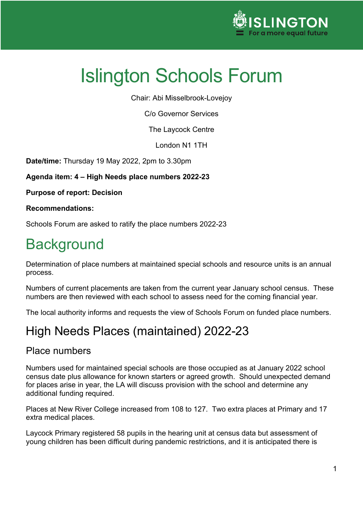

Chair: Abi Misselbrook-Lovejoy

C/o Governor Services

The Laycock Centre

London N1 1TH

**Date/time:** Thursday 19 May 2022, 2pm to 3.30pm

**Agenda item: 4 – High Needs place numbers 2022-23**

**Purpose of report: Decision**

**Recommendations:**

Schools Forum are asked to ratify the place numbers 2022-23

# **Background**

Determination of place numbers at maintained special schools and resource units is an annual process.

Numbers of current placements are taken from the current year January school census. These numbers are then reviewed with each school to assess need for the coming financial year.

The local authority informs and requests the view of Schools Forum on funded place numbers.

## High Needs Places (maintained) 2022-23

#### Place numbers

Numbers used for maintained special schools are those occupied as at January 2022 school census date plus allowance for known starters or agreed growth. Should unexpected demand for places arise in year, the LA will discuss provision with the school and determine any additional funding required.

Places at New River College increased from 108 to 127. Two extra places at Primary and 17 extra medical places.

Laycock Primary registered 58 pupils in the hearing unit at census data but assessment of young children has been difficult during pandemic restrictions, and it is anticipated there is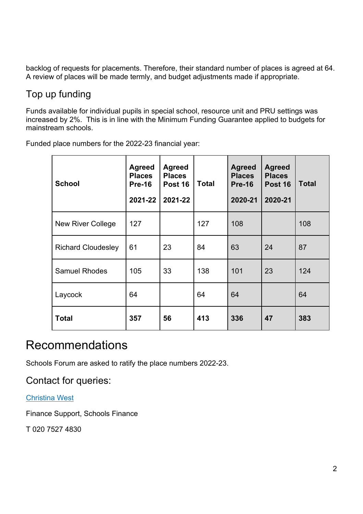backlog of requests for placements. Therefore, their standard number of places is agreed at 64. A review of places will be made termly, and budget adjustments made if appropriate.

### Top up funding

Funds available for individual pupils in special school, resource unit and PRU settings was increased by 2%. This is in line with the Minimum Funding Guarantee applied to budgets for mainstream schools.

Funded place numbers for the 2022-23 financial year:

| <b>School</b>             | <b>Agreed</b><br><b>Places</b><br>$Pre-16$<br>2021-22 | <b>Agreed</b><br><b>Places</b><br>Post 16<br>2021-22 | <b>Total</b> | <b>Agreed</b><br><b>Places</b><br><b>Pre-16</b><br>2020-21 | <b>Agreed</b><br><b>Places</b><br><b>Post 16</b><br>2020-21 | <b>Total</b> |
|---------------------------|-------------------------------------------------------|------------------------------------------------------|--------------|------------------------------------------------------------|-------------------------------------------------------------|--------------|
| New River College         | 127                                                   |                                                      | 127          | 108                                                        |                                                             | 108          |
| <b>Richard Cloudesley</b> | 61                                                    | 23                                                   | 84           | 63                                                         | 24                                                          | 87           |
| <b>Samuel Rhodes</b>      | 105                                                   | 33                                                   | 138          | 101                                                        | 23                                                          | 124          |
| Laycock                   | 64                                                    |                                                      | 64           | 64                                                         |                                                             | 64           |
| Total                     | 357                                                   | 56                                                   | 413          | 336                                                        | 47                                                          | 383          |

### Recommendations

Schools Forum are asked to ratify the place numbers 2022-23.

Contact for queries:

[Christina West](mailto:christina.west@islington.gov.uk)

Finance Support, Schools Finance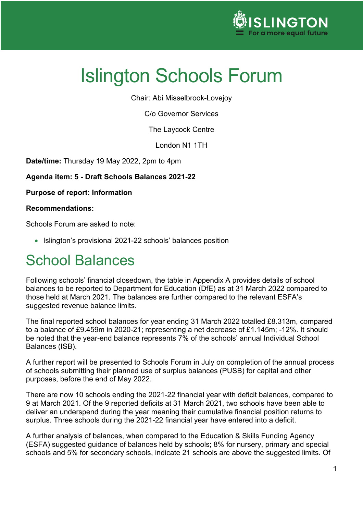

Chair: Abi Misselbrook-Lovejoy

C/o Governor Services

The Laycock Centre

London N1 1TH

**Date/time:** Thursday 19 May 2022, 2pm to 4pm

**Agenda item: 5 - Draft Schools Balances 2021-22**

**Purpose of report: Information**

#### **Recommendations:**

Schools Forum are asked to note:

• Islington's provisional 2021-22 schools' balances position

# School Balances

Following schools' financial closedown, the table in Appendix A provides details of school balances to be reported to Department for Education (DfE) as at 31 March 2022 compared to those held at March 2021. The balances are further compared to the relevant ESFA's suggested revenue balance limits.

The final reported school balances for year ending 31 March 2022 totalled £8.313m, compared to a balance of £9.459m in 2020-21; representing a net decrease of £1.145m; -12%. It should be noted that the year-end balance represents 7% of the schools' annual Individual School Balances (ISB).

A further report will be presented to Schools Forum in July on completion of the annual process of schools submitting their planned use of surplus balances (PUSB) for capital and other purposes, before the end of May 2022.

There are now 10 schools ending the 2021-22 financial year with deficit balances, compared to 9 at March 2021. Of the 9 reported deficits at 31 March 2021, two schools have been able to deliver an underspend during the year meaning their cumulative financial position returns to surplus. Three schools during the 2021-22 financial year have entered into a deficit.

A further analysis of balances, when compared to the Education & Skills Funding Agency (ESFA) suggested guidance of balances held by schools; 8% for nursery, primary and special schools and 5% for secondary schools, indicate 21 schools are above the suggested limits. Of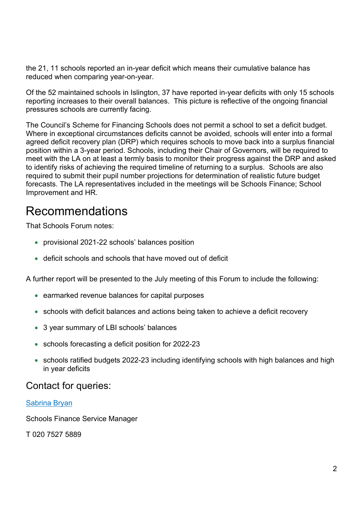the 21, 11 schools reported an in-year deficit which means their cumulative balance has reduced when comparing year-on-year.

Of the 52 maintained schools in Islington, 37 have reported in-year deficits with only 15 schools reporting increases to their overall balances. This picture is reflective of the ongoing financial pressures schools are currently facing.

The Council's Scheme for Financing Schools does not permit a school to set a deficit budget. Where in exceptional circumstances deficits cannot be avoided, schools will enter into a formal agreed deficit recovery plan (DRP) which requires schools to move back into a surplus financial position within a 3-year period. Schools, including their Chair of Governors, will be required to meet with the LA on at least a termly basis to monitor their progress against the DRP and asked to identify risks of achieving the required timeline of returning to a surplus. Schools are also required to submit their pupil number projections for determination of realistic future budget forecasts. The LA representatives included in the meetings will be Schools Finance; School Improvement and HR.

### Recommendations

That Schools Forum notes:

- provisional 2021-22 schools' balances position
- deficit schools and schools that have moved out of deficit

A further report will be presented to the July meeting of this Forum to include the following:

- earmarked revenue balances for capital purposes
- schools with deficit balances and actions being taken to achieve a deficit recovery
- 3 year summary of LBI schools' balances
- schools forecasting a deficit position for 2022-23
- schools ratified budgets 2022-23 including identifying schools with high balances and high in year deficits

#### Contact for queries:

#### [Sabrina Bryan](mailto:Sabrina.Bryan@islington.gov.uk)

Schools Finance Service Manager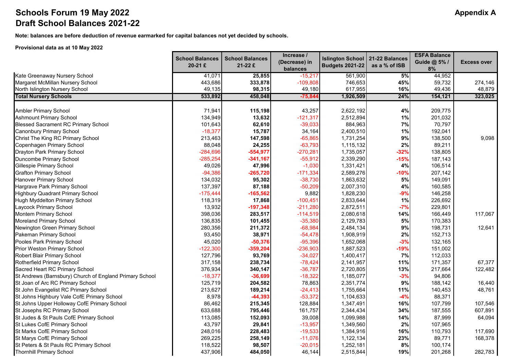#### **Schools Forum 19 May 2022 Alternative Schools Forum 19 May 2022 Appendix A Draft School Balances 2021-22**

**Note: balances are before deduction of revenue earmarked for capital balances not yet decided by schools.**

#### **Provisional data as at 10 May 2022**

|                                                         | <b>School Balances</b><br>20-21 £ | <b>School Balances</b><br>$21-22E$ | Increase /<br>(Decrease) in<br>balances | <b>Islington School</b><br><b>Budgets 2021-22</b> | 21-22 Balances<br>as a % of ISB | <b>ESFA Balance</b><br>Guide @ 5% /<br>8% | <b>Excess over</b> |
|---------------------------------------------------------|-----------------------------------|------------------------------------|-----------------------------------------|---------------------------------------------------|---------------------------------|-------------------------------------------|--------------------|
| Kate Greenaway Nursery School                           | 41,071                            | 25,855                             | $-15,217$                               | 561,900                                           | 5%                              | 44,952                                    |                    |
| Margaret McMillan Nursery School                        | 443,686                           | 333,878                            | $-109,808$                              | 746,653                                           | 45%                             | 59,732                                    | 274,146            |
| North Islington Nursery School                          | 49,135                            | 98,315                             | 49,180                                  | 617,955                                           | 16%                             | 49,436                                    | 48,879             |
| <b>Total Nursery Schools</b>                            | 533,892                           | 458,048                            | $-75,844$                               | 1,926,509                                         | 24%                             | 154,121                                   | 323,025            |
| <b>Ambler Primary School</b>                            | 71,941                            | 115,198                            | 43,257                                  | 2,622,192                                         | 4%                              | 209,775                                   |                    |
| <b>Ashmount Primary School</b>                          | 134,949                           | 13,632                             | $-121,317$                              | 2,512,894                                         | 1%                              | 201,032                                   |                    |
| <b>Blessed Sacrament RC Primary School</b>              | 101,643                           | 62,610                             | $-39,033$                               | 884,963                                           | $7\%$                           | 70,797                                    |                    |
| <b>Canonbury Primary School</b>                         | $-18,377$                         | 15,787                             | 34,164                                  | 2,400,510                                         | 1%                              | 192,041                                   |                    |
| Christ The King RC Primary School                       | 213,463                           | 147,598                            | $-65,865$                               | 1,731,254                                         | 9%                              | 138,500                                   | 9,098              |
| Copenhagen Primary School                               | 88,048                            | 24,255                             | $-63,793$                               | 1,115,132                                         | 2%                              | 89,211                                    |                    |
| Drayton Park Primary School                             | $-284,696$                        | $-554,977$                         | $-270,281$                              | 1,735,057                                         | $-32%$                          | 138,805                                   |                    |
| Duncombe Primary School                                 | $-285,254$                        | $-341,167$                         | $-55,912$                               | 2,339,290                                         | $-15%$                          | 187,143                                   |                    |
| Gillespie Primary School                                | 49,026                            | 47,996                             | $-1,030$                                | 1,331,421                                         | 4%                              | 106,514                                   |                    |
| <b>Grafton Primary School</b>                           | $-94,386$                         | $-265,720$                         | $-171,334$                              | 2,589,276                                         | $-10%$                          | 207,142                                   |                    |
| Hanover Primary School                                  | 134,032                           | 95,302                             | $-38,730$                               | 1,863,632                                         | 5%                              | 149,091                                   |                    |
| Hargrave Park Primary School                            | 137,397                           | 87,188                             | $-50,209$                               | 2,007,310                                         | 4%                              | 160,585                                   |                    |
| <b>Highbury Quadrant Primary School</b>                 | $-175,444$                        | $-165,562$                         | 9,882                                   | 1,828,230                                         | $-9%$                           | 146,258                                   |                    |
| <b>Hugh Myddelton Primary School</b>                    | 118,319                           | 17,868                             | $-100,451$                              | 2,833,644                                         | 1%                              | 226,692                                   |                    |
| Laycock Primary School                                  | 13,932                            | $-197,348$                         | $-211,280$                              | 2,872,511                                         | $-7%$                           | 229,801                                   |                    |
| <b>Montem Primary School</b>                            | 398,036                           | 283,517                            | $-114,519$                              | 2,080,618                                         | 14%                             | 166,449                                   | 117,067            |
| <b>Moreland Primary School</b>                          | 136,835                           | 101,455                            | $-35,380$                               | 2,129,783                                         | 5%                              | 170,383                                   |                    |
| Newington Green Primary School                          | 280,356                           | 211,372                            | $-68,984$                               | 2,484,134                                         | 9%                              | 198,731                                   | 12,641             |
| Pakeman Primary School                                  | 93,450                            | 38,971                             | $-54,478$                               | 1,908,919                                         | 2%                              | 152,713                                   |                    |
| Pooles Park Primary School                              | 45,020                            | $-50,376$                          | $-95,396$                               | 1,652,068                                         | $-3%$                           | 132,165                                   |                    |
| Prior Weston Primary School                             | $-122,300$                        | $-359,204$                         | $-236,903$                              | 1,887,523                                         | $-19%$                          | 151,002                                   |                    |
| Robert Blair Primary School                             | 127,796                           | 93,769                             | $-34,027$                               | 1,400,417                                         | 7%                              | 112,033                                   |                    |
| Rotherfield Primary School                              | 317,158                           | 238,734                            | $-78,424$                               | 2,141,957                                         | 11%                             | 171,357                                   | 67,377             |
| Sacred Heart RC Primary School                          | 376,934                           | 340,147                            | $-36,787$                               | 2,720,805                                         | 13%                             | 217,664                                   | 122,482            |
| St Andrews (Barnsbury) Church of England Primary School | $-18,377$                         | $-36,699$                          | $-18,322$                               | 1,185,077                                         | $-3%$                           | 94,806                                    |                    |
| St Joan of Arc RC Primary School                        | 125,719                           | 204,582                            | 78,863                                  | 2,351,774                                         | 9%                              | 188,142                                   | 16,440             |
| St John Evangelist RC Primary School                    | 213,627                           | 189,214                            | $-24,413$                               | 1,755,664                                         | 11%                             | 140,453                                   | 48,761             |
| St Johns Highbury Vale CofE Primary School              | 8,978                             | $-44,393$                          | $-53,372$                               | 1,104,633                                         | $-4%$                           | 88,371                                    |                    |
| St Johns Upper Holloway CofE Primary School             | 86,462                            | 215,345                            | 128,884                                 | 1,347,491                                         | 16%                             | 107,799                                   | 107,546            |
| St Josephs RC Primary School                            | 633,688                           | 795,446                            | 161,757                                 | 2,344,434                                         | 34%                             | 187,555                                   | 607,891            |
| St Judes & St Pauls CofE Primary School                 | 113,085                           | 152,093                            | 39,008                                  | 1,099,988                                         | 14%                             | 87,999                                    | 64,094             |
| St Lukes CofE Primary School                            | 43,797                            | 29,841                             | $-13,957$                               | 1,349,560                                         | 2%                              | 107,965                                   |                    |
| St Marks CofE Primary School                            | 248,016                           | 228,483                            | $-19,533$                               | 1,384,916                                         | 16%                             | 110,793                                   | 117,690            |
| St Marys CofE Primary School                            | 269,225                           | 258,149                            | $-11,076$                               | 1,122,134                                         | 23%                             | 89,771                                    | 168,378            |
| St Peters & St Pauls RC Primary School                  | 118,522                           | 98,507                             | $-20,015$                               | 1,252,181                                         | 8%                              | 100,174                                   |                    |
| <b>Thornhill Primary School</b>                         | 437,906                           | 484,050                            | 46,144                                  | 2,515,844                                         | 19%                             | 201,268                                   | 282,783            |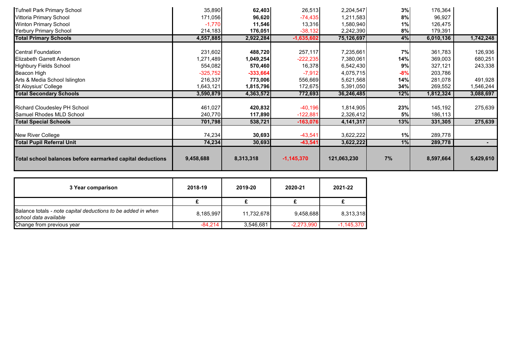| <b>Tufnell Park Primary School</b>                        | 35,890     | 62,403     | 26,513       | 2,204,547   | 3%    | 176,364   |           |
|-----------------------------------------------------------|------------|------------|--------------|-------------|-------|-----------|-----------|
| Vittoria Primary School                                   | 171,056    | 96,620     | $-74,435$    | 1,211,583   | 8%    | 96,927    |           |
| <b>Winton Primary School</b>                              | $-1,770$   | 11,546     | 13,316       | 1,580,940   | 1%    | 126,475   |           |
| <b>Yerbury Primary School</b>                             | 214,183    | 176,051    | $-38,132$    | 2,242,390   | 8%    | 179,391   |           |
| <b>Total Primary Schools</b>                              | 4,557,885  | 2,922,284  | $-1,635,602$ | 75,126,697  | 4%    | 6,010,136 | 1,742,248 |
|                                                           |            |            |              |             |       |           |           |
| <b>Central Foundation</b>                                 | 231,602    | 488,720    | 257,117      | 7,235,661   | 7%    | 361,783   | 126,936   |
| Elizabeth Garrett Anderson                                | 1,271,489  | 1,049,254  | $-222,235$   | 7,380,061   | 14%   | 369,003   | 680,251   |
| <b>Highbury Fields School</b>                             | 554,082    | 570,460    | 16,378       | 6,542,430   | 9%    | 327,121   | 243,338   |
| Beacon High                                               | $-325,752$ | $-333,664$ | $-7,912$     | 4,075,715   | $-8%$ | 203,786   |           |
| Arts & Media School Islington                             | 216,337    | 773,006    | 556,669      | 5,621,568   | 14%   | 281,078   | 491,928   |
| <b>St Aloysius' College</b>                               | 1,643,121  | 1,815,796  | 172,675      | 5,391,050   | 34%   | 269,552   | 1,546,244 |
| <b>Total Secondary Schools</b>                            | 3,590,879  | 4,363,572  | 772,693      | 36,246,485  | 12%   | 1,812,324 | 3,088,697 |
|                                                           |            |            |              |             |       |           |           |
| Richard Cloudesley PH School                              | 461,027    | 420,832    | $-40,196$    | 1,814,905   | 23%   | 145,192   | 275,639   |
| Samuel Rhodes MLD School                                  | 240,770    | 117,890    | $-122,881$   | 2,326,412   | 5%    | 186,113   |           |
| <b>Total Special Schools</b>                              | 701,798    | 538,721    | $-163,076$   | 4,141,317   | 13%   | 331,305   | 275,639   |
| <b>New River College</b>                                  | 74,234     | 30,693     | $-43,541$    | 3,622,222   | 1%    | 289,778   |           |
| <b>Total Pupil Referral Unit</b>                          | 74,234     | 30,693     | $-43,541$    | 3,622,222   | 1%    | 289,778   |           |
| Total school balances before earmarked capital deductions | 9,458,688  | 8,313,318  | $-1,145,370$ | 121,063,230 | 7%    | 8,597,664 | 5,429,610 |

| 3 Year comparison                                                                     | 2018-19   | 2019-20    | 2020-21      | 2021-22      |
|---------------------------------------------------------------------------------------|-----------|------------|--------------|--------------|
|                                                                                       |           |            |              |              |
| Balance totals - note capital deductions to be added in when<br>school data available | 8,185,997 | 11,732,678 | 9,458,688    | 8,313,318    |
| Change from previous year                                                             | $-84.214$ | 3,546,681  | $-2,273,990$ | $-1,145,370$ |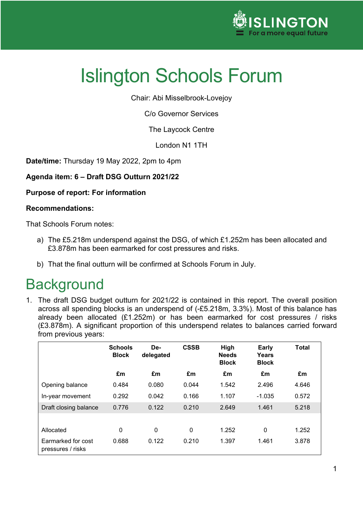

Chair: Abi Misselbrook-Lovejoy

C/o Governor Services

The Laycock Centre

London N1 1TH

**Date/time:** Thursday 19 May 2022, 2pm to 4pm

**Agenda item: 6 – Draft DSG Outturn 2021/22**

#### **Purpose of report: For information**

#### **Recommendations:**

That Schools Forum notes:

- a) The £5.218m underspend against the DSG, of which £1.252m has been allocated and £3.878m has been earmarked for cost pressures and risks.
- b) That the final outturn will be confirmed at Schools Forum in July.

## **Background**

1. The draft DSG budget outturn for 2021/22 is contained in this report. The overall position across all spending blocks is an underspend of (-£5.218m, 3.3%). Most of this balance has already been allocated (£1.252m) or has been earmarked for cost pressures / risks (£3.878m). A significant proportion of this underspend relates to balances carried forward from previous years:

|                                         | <b>Schools</b><br><b>Block</b> | De-<br>delegated | <b>CSSB</b>  | High<br><b>Needs</b><br><b>Block</b> | <b>Early</b><br>Years<br><b>Block</b> | <b>Total</b> |
|-----------------------------------------|--------------------------------|------------------|--------------|--------------------------------------|---------------------------------------|--------------|
|                                         | £m                             | £m               | £m           | £m                                   | £m                                    | £m           |
| Opening balance                         | 0.484                          | 0.080            | 0.044        | 1.542                                | 2.496                                 | 4.646        |
| In-year movement                        | 0.292                          | 0.042            | 0.166        | 1.107                                | $-1.035$                              | 0.572        |
| Draft closing balance                   | 0.776                          | 0.122            | 0.210        | 2.649                                | 1.461                                 | 5.218        |
|                                         |                                |                  |              |                                      |                                       |              |
| Allocated                               | $\mathbf 0$                    | $\mathbf{0}$     | $\mathbf{0}$ | 1.252                                | 0                                     | 1.252        |
| Earmarked for cost<br>pressures / risks | 0.688                          | 0.122            | 0.210        | 1.397                                | 1.461                                 | 3.878        |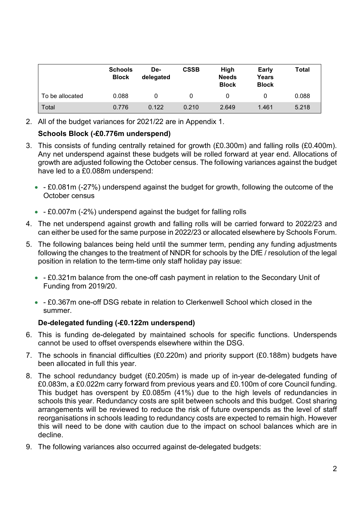|                 | <b>Schools</b><br><b>Block</b> | De-<br>delegated | <b>CSSB</b> | <b>High</b><br><b>Needs</b><br><b>Block</b> | <b>Early</b><br>Years<br><b>Block</b> | Total |
|-----------------|--------------------------------|------------------|-------------|---------------------------------------------|---------------------------------------|-------|
| To be allocated | 0.088                          | 0                |             | 0                                           |                                       | 0.088 |
| Total           | 0.776                          | 0.122            | 0.210       | 2.649                                       | 1.461                                 | 5.218 |

2. All of the budget variances for 2021/22 are in Appendix 1.

#### **Schools Block (-£0.776m underspend)**

- 3. This consists of funding centrally retained for growth (£0.300m) and falling rolls (£0.400m). Any net underspend against these budgets will be rolled forward at year end. Allocations of growth are adjusted following the October census. The following variances against the budget have led to a £0.088m underspend:
	- - £0.081m (-27%) underspend against the budget for growth, following the outcome of the October census
	- - £0.007m (-2%) underspend against the budget for falling rolls
- 4. The net underspend against growth and falling rolls will be carried forward to 2022/23 and can either be used for the same purpose in 2022/23 or allocated elsewhere by Schools Forum.
- 5. The following balances being held until the summer term, pending any funding adjustments following the changes to the treatment of NNDR for schools by the DfE / resolution of the legal position in relation to the term-time only staff holiday pay issue:
	- - £0.321m balance from the one-off cash payment in relation to the Secondary Unit of Funding from 2019/20.
	- - £0.367m one-off DSG rebate in relation to Clerkenwell School which closed in the summer.

#### **De-delegated funding (-£0.122m underspend)**

- 6. This is funding de-delegated by maintained schools for specific functions. Underspends cannot be used to offset overspends elsewhere within the DSG.
- 7. The schools in financial difficulties (£0.220m) and priority support (£0.188m) budgets have been allocated in full this year.
- 8. The school redundancy budget (£0.205m) is made up of in-year de-delegated funding of £0.083m, a £0.022m carry forward from previous years and £0.100m of core Council funding. This budget has overspent by £0.085m (41%) due to the high levels of redundancies in schools this year. Redundancy costs are split between schools and this budget. Cost sharing arrangements will be reviewed to reduce the risk of future overspends as the level of staff reorganisations in schools leading to redundancy costs are expected to remain high. However this will need to be done with caution due to the impact on school balances which are in decline.
- 9. The following variances also occurred against de-delegated budgets: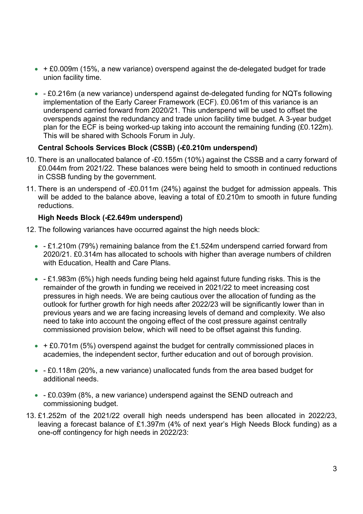- + £0.009m (15%, a new variance) overspend against the de-delegated budget for trade union facility time.
- - £0.216m (a new variance) underspend against de-delegated funding for NQTs following implementation of the Early Career Framework (ECF). £0.061m of this variance is an underspend carried forward from 2020/21. This underspend will be used to offset the overspends against the redundancy and trade union facility time budget. A 3-year budget plan for the ECF is being worked-up taking into account the remaining funding (£0.122m). This will be shared with Schools Forum in July.

#### **Central Schools Services Block (CSSB) (-£0.210m underspend)**

- 10. There is an unallocated balance of -£0.155m (10%) against the CSSB and a carry forward of £0.044m from 2021/22. These balances were being held to smooth in continued reductions in CSSB funding by the government.
- 11. There is an underspend of -£0.011m (24%) against the budget for admission appeals. This will be added to the balance above, leaving a total of £0.210m to smooth in future funding reductions.

#### **High Needs Block (-£2.649m underspend)**

- 12. The following variances have occurred against the high needs block:
	- - £1.210m (79%) remaining balance from the £1.524m underspend carried forward from 2020/21. £0.314m has allocated to schools with higher than average numbers of children with Education, Health and Care Plans.
	- - £1.983m (6%) high needs funding being held against future funding risks. This is the remainder of the growth in funding we received in 2021/22 to meet increasing cost pressures in high needs. We are being cautious over the allocation of funding as the outlook for further growth for high needs after 2022/23 will be significantly lower than in previous years and we are facing increasing levels of demand and complexity. We also need to take into account the ongoing effect of the cost pressure against centrally commissioned provision below, which will need to be offset against this funding.
	- $\cdot$  + £0.701m (5%) overspend against the budget for centrally commissioned places in academies, the independent sector, further education and out of borough provision.
	- - £0.118m (20%, a new variance) unallocated funds from the area based budget for additional needs.
	- - £0.039m (8%, a new variance) underspend against the SEND outreach and commissioning budget.
- 13. £1.252m of the 2021/22 overall high needs underspend has been allocated in 2022/23, leaving a forecast balance of £1.397m (4% of next year's High Needs Block funding) as a one-off contingency for high needs in 2022/23: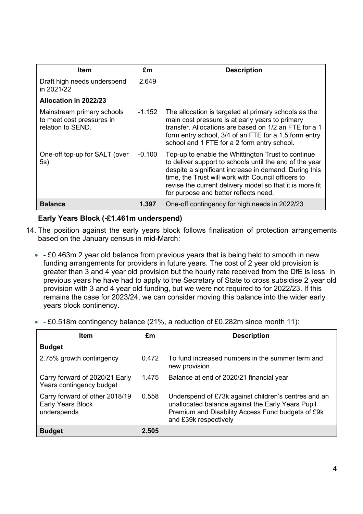| <b>Item</b>                                                                  | £m       | <b>Description</b>                                                                                                                                                                                                                                                                                                                |
|------------------------------------------------------------------------------|----------|-----------------------------------------------------------------------------------------------------------------------------------------------------------------------------------------------------------------------------------------------------------------------------------------------------------------------------------|
| Draft high needs underspend<br>in 2021/22                                    | 2.649    |                                                                                                                                                                                                                                                                                                                                   |
| Allocation in 2022/23                                                        |          |                                                                                                                                                                                                                                                                                                                                   |
| Mainstream primary schools<br>to meet cost pressures in<br>relation to SEND. | -1.152   | The allocation is targeted at primary schools as the<br>main cost pressure is at early years to primary<br>transfer. Allocations are based on 1/2 an FTE for a 1<br>form entry school, 3/4 of an FTE for a 1.5 form entry<br>school and 1 FTE for a 2 form entry school.                                                          |
| One-off top-up for SALT (over<br>5s)                                         | $-0.100$ | Top-up to enable the Whittington Trust to continue<br>to deliver support to schools until the end of the year<br>despite a significant increase in demand. During this<br>time, the Trust will work with Council officers to<br>revise the current delivery model so that it is more fit<br>for purpose and better reflects need. |
| <b>Balance</b>                                                               | 1.397    | One-off contingency for high needs in 2022/23                                                                                                                                                                                                                                                                                     |

#### **Early Years Block (-£1.461m underspend)**

- 14. The position against the early years block follows finalisation of protection arrangements based on the January census in mid-March:
	- - £0.463m 2 year old balance from previous years that is being held to smooth in new funding arrangements for providers in future years. The cost of 2 year old provision is greater than 3 and 4 year old provision but the hourly rate received from the DfE is less. In previous years he have had to apply to the Secretary of State to cross subsidise 2 year old provision with 3 and 4 year old funding, but we were not required to for 2022/23. If this remains the case for 2023/24, we can consider moving this balance into the wider early years block continency.
	- - £0.518m contingency balance (21%, a reduction of £0.282m since month 11):

| <b>Item</b>                                                        | £m    | <b>Description</b>                                                                                                                                                                      |
|--------------------------------------------------------------------|-------|-----------------------------------------------------------------------------------------------------------------------------------------------------------------------------------------|
| <b>Budget</b>                                                      |       |                                                                                                                                                                                         |
| 2.75% growth contingency                                           | 0.472 | To fund increased numbers in the summer term and<br>new provision                                                                                                                       |
| Carry forward of 2020/21 Early<br>Years contingency budget         | 1.475 | Balance at end of 2020/21 financial year                                                                                                                                                |
| Carry forward of other 2018/19<br>Early Years Block<br>underspends | 0.558 | Underspend of £73k against children's centres and an<br>unallocated balance against the Early Years Pupil<br>Premium and Disability Access Fund budgets of £9k<br>and £39k respectively |
| <b>Budget</b>                                                      | 2.505 |                                                                                                                                                                                         |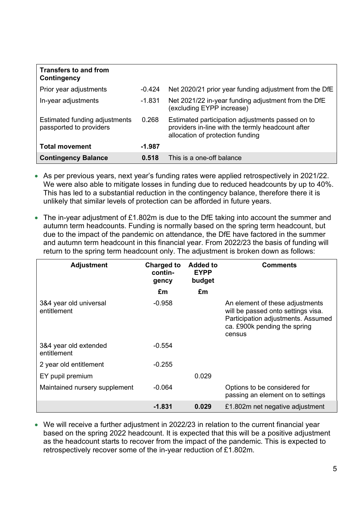| <b>Transfers to and from</b><br>Contingency              |          |                                                                                                                                           |
|----------------------------------------------------------|----------|-------------------------------------------------------------------------------------------------------------------------------------------|
| Prior year adjustments                                   | $-0.424$ | Net 2020/21 prior year funding adjustment from the DfE                                                                                    |
| In-year adjustments                                      | -1.831   | Net 2021/22 in-year funding adjustment from the DfE<br>(excluding EYPP increase)                                                          |
| Estimated funding adjustments<br>passported to providers | 0.268    | Estimated participation adjustments passed on to<br>providers in-line with the termly headcount after<br>allocation of protection funding |
| <b>Total movement</b>                                    | $-1.987$ |                                                                                                                                           |
| <b>Contingency Balance</b>                               | 0.518    | This is a one-off balance                                                                                                                 |

- As per previous years, next year's funding rates were applied retrospectively in 2021/22. We were also able to mitigate losses in funding due to reduced headcounts by up to 40%. This has led to a substantial reduction in the contingency balance, therefore there it is unlikely that similar levels of protection can be afforded in future years.
- The in-year adjustment of £1.802m is due to the DfE taking into account the summer and autumn term headcounts. Funding is normally based on the spring term headcount, but due to the impact of the pandemic on attendance, the DfE have factored in the summer and autumn term headcount in this financial year. From 2022/23 the basis of funding will return to the spring term headcount only. The adjustment is broken down as follows:

| <b>Adjustment</b>                     | <b>Charged to</b><br>contin-<br>gency | <b>Added to</b><br><b>EYPP</b><br>budget | <b>Comments</b>                                                                                                                                       |
|---------------------------------------|---------------------------------------|------------------------------------------|-------------------------------------------------------------------------------------------------------------------------------------------------------|
|                                       | £m                                    | £m                                       |                                                                                                                                                       |
| 3&4 year old universal<br>entitlement | $-0.958$                              |                                          | An element of these adjustments<br>will be passed onto settings visa.<br>Participation adjustments. Assumed<br>ca. £900k pending the spring<br>census |
| 3&4 year old extended<br>entitlement  | $-0.554$                              |                                          |                                                                                                                                                       |
| 2 year old entitlement                | $-0.255$                              |                                          |                                                                                                                                                       |
| EY pupil premium                      |                                       | 0.029                                    |                                                                                                                                                       |
| Maintained nursery supplement         | $-0.064$                              |                                          | Options to be considered for<br>passing an element on to settings                                                                                     |
|                                       | -1.831                                | 0.029                                    | £1.802m net negative adjustment                                                                                                                       |

• We will receive a further adjustment in 2022/23 in relation to the current financial year based on the spring 2022 headcount. It is expected that this will be a positive adjustment as the headcount starts to recover from the impact of the pandemic. This is expected to retrospectively recover some of the in-year reduction of £1.802m.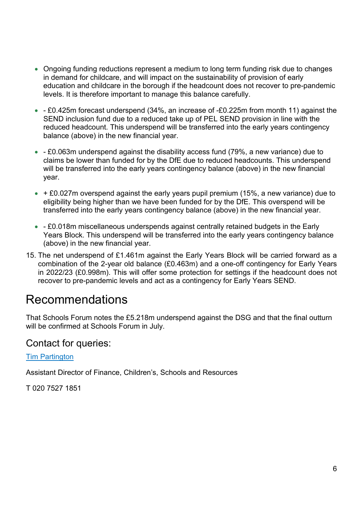- Ongoing funding reductions represent a medium to long term funding risk due to changes in demand for childcare, and will impact on the sustainability of provision of early education and childcare in the borough if the headcount does not recover to pre-pandemic levels. It is therefore important to manage this balance carefully.
- - £0.425m forecast underspend (34%, an increase of -£0.225m from month 11) against the SEND inclusion fund due to a reduced take up of PEL SEND provision in line with the reduced headcount. This underspend will be transferred into the early years contingency balance (above) in the new financial year.
- - £0.063m underspend against the disability access fund (79%, a new variance) due to claims be lower than funded for by the DfE due to reduced headcounts. This underspend will be transferred into the early years contingency balance (above) in the new financial year.
- $\bullet$  + £0.027m overspend against the early years pupil premium (15%, a new variance) due to eligibility being higher than we have been funded for by the DfE. This overspend will be transferred into the early years contingency balance (above) in the new financial year.
- - £0.018m miscellaneous underspends against centrally retained budgets in the Early Years Block. This underspend will be transferred into the early years contingency balance (above) in the new financial year.
- 15. The net underspend of £1.461m against the Early Years Block will be carried forward as a combination of the 2-year old balance (£0.463m) and a one-off contingency for Early Years in 2022/23 (£0.998m). This will offer some protection for settings if the headcount does not recover to pre-pandemic levels and act as a contingency for Early Years SEND.

### Recommendations

That Schools Forum notes the £5.218m underspend against the DSG and that the final outturn will be confirmed at Schools Forum in July.

#### Contact for queries:

[Tim Partington](mailto:tim.partington@islington.gov.uk) 

Assistant Director of Finance, Children's, Schools and Resources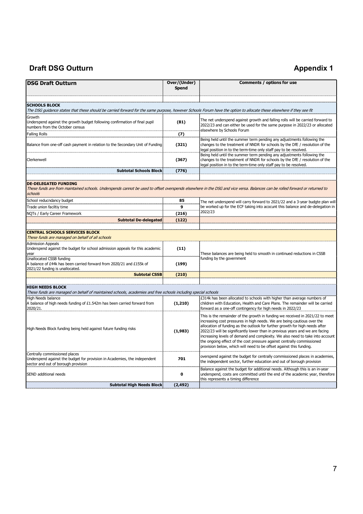### **Draft DSG Outturn Appendix 1**

| <b>DSG Draft Outturn</b>                                                                                                                                                                                                                           | Over/(Under)<br><b>Spend</b> | Comments / options for use                                                                                                                                                                                                                                                                                                                                                                                                                                                                                                                                 |
|----------------------------------------------------------------------------------------------------------------------------------------------------------------------------------------------------------------------------------------------------|------------------------------|------------------------------------------------------------------------------------------------------------------------------------------------------------------------------------------------------------------------------------------------------------------------------------------------------------------------------------------------------------------------------------------------------------------------------------------------------------------------------------------------------------------------------------------------------------|
| <b>SCHOOLS BLOCK</b>                                                                                                                                                                                                                               |                              |                                                                                                                                                                                                                                                                                                                                                                                                                                                                                                                                                            |
| The DSG guidance states that these should be carried forward for the same purpose, however Schools Forum have the option to allocate these elsewhere if they see fit                                                                               |                              |                                                                                                                                                                                                                                                                                                                                                                                                                                                                                                                                                            |
| Growth<br>Underspend against the growth budget following confirmation of final pupil<br>numbers from the October census                                                                                                                            | (81)                         | The net underspend against growth and falling rolls will be carried forward to<br>2022/23 and can either be used for the same purpose in 2022/23 or allocated<br>elsewhere by Schools Forum                                                                                                                                                                                                                                                                                                                                                                |
| <b>Falling Rolls</b>                                                                                                                                                                                                                               | (7)                          |                                                                                                                                                                                                                                                                                                                                                                                                                                                                                                                                                            |
| Balance from one-off cash payment in relation to the Secondary Unit of Funding                                                                                                                                                                     | (321)                        | Being held until the summer term pending any adjustments following the<br>changes to the treatment of NNDR for schools by the DfE / resolution of the<br>legal position in to the term-time only staff pay to be resolved.                                                                                                                                                                                                                                                                                                                                 |
| Clerkenwell                                                                                                                                                                                                                                        | (367)                        | Being held until the summer term pending any adjustments following the<br>changes to the treatment of NNDR for schools by the DfE / resolution of the<br>legal position in to the term-time only staff pay to be resolved.                                                                                                                                                                                                                                                                                                                                 |
| <b>Subtotal Schools Block</b>                                                                                                                                                                                                                      | (776)                        |                                                                                                                                                                                                                                                                                                                                                                                                                                                                                                                                                            |
| <b>DE-DELEGATED FUNDING</b><br>These funds are from maintained schools. Underspends cannot be used to offset overspends elsewhere in the DSG and vice versa. Balances can be rolled forward or returned to<br>schools<br>School reducndancy budget | 85                           | The net underspend will carry forward to 2021/22 and a 3-year budgte plan will                                                                                                                                                                                                                                                                                                                                                                                                                                                                             |
| Trade union faciltiy time                                                                                                                                                                                                                          | $\mathbf{9}$                 | be worked up for the ECF taking into acocunt this balance and de-delegation in                                                                                                                                                                                                                                                                                                                                                                                                                                                                             |
| NQTs / Early Career Framework                                                                                                                                                                                                                      | (216)                        | 2022/23                                                                                                                                                                                                                                                                                                                                                                                                                                                                                                                                                    |
| <b>Subtotal De-delegated</b>                                                                                                                                                                                                                       | (122)                        |                                                                                                                                                                                                                                                                                                                                                                                                                                                                                                                                                            |
|                                                                                                                                                                                                                                                    |                              |                                                                                                                                                                                                                                                                                                                                                                                                                                                                                                                                                            |
| <b>CENTRAL SCHOOLS SERVICES BLOCK</b><br>These funds are managed on behalf of all schools                                                                                                                                                          |                              |                                                                                                                                                                                                                                                                                                                                                                                                                                                                                                                                                            |
| <b>Admission Appeals</b><br>Underspend against the budget for school admission appeals for this academic<br>year                                                                                                                                   | (11)                         | These balances are being held to smooth in continued reductions in CSSB                                                                                                                                                                                                                                                                                                                                                                                                                                                                                    |
| Unallocated CSSB funding<br>A balance of £44k has been carried forward from 2020/21 and £155k of<br>2021/22 funding is unallocated.                                                                                                                | (199)                        | funding by the government                                                                                                                                                                                                                                                                                                                                                                                                                                                                                                                                  |
| <b>Subtotal CSSB</b>                                                                                                                                                                                                                               | (210)                        |                                                                                                                                                                                                                                                                                                                                                                                                                                                                                                                                                            |
|                                                                                                                                                                                                                                                    |                              |                                                                                                                                                                                                                                                                                                                                                                                                                                                                                                                                                            |
| <b>HIGH NEEDS BLOCK</b><br>These funds are managed on behalf of maintained schools, academies and free schools including special schools                                                                                                           |                              |                                                                                                                                                                                                                                                                                                                                                                                                                                                                                                                                                            |
| High Needs balance<br>A balance of high needs funding of £1.542m has been carried forward from<br>2020/21.                                                                                                                                         | (1, 210)                     | £314k has been allocated to schools with higher than average numbers of<br>children with Education, Health and Care Plans. The remainder will be carried<br>forward as a one-off contingency for high needs in 2022/23                                                                                                                                                                                                                                                                                                                                     |
| High Needs Block funding being held against future funding risks                                                                                                                                                                                   | (1,983)                      | This is the remainder of the growth in funding we received in 2021/22 to meet<br>increasing cost pressures in high needs. We are being cautious over the<br>allocation of funding as the outlook for further growth for high needs after<br>2022/23 will be significantly lower than in previous years and we are facing<br>increasing levels of demand and complexity. We also need to take into account<br>the ongoing effect of the cost pressure against centrally commissioned<br>provision below, which will need to be offset against this funding. |
| Centrally commissioned places<br>Underspend against the budget for provision in Academies, the independent<br>sector and out of borough provision                                                                                                  | 701                          | overspend against the budget for centrally commissioned places in academies,<br>the independent sector, further education and out of borough provision                                                                                                                                                                                                                                                                                                                                                                                                     |
| SEND additional needs                                                                                                                                                                                                                              | $\mathbf 0$                  | Balance against the budget for additional needs. Although this is an in-year<br>underspend, costs are committed until the end of the academic year, therefore<br>this represents a timing difference                                                                                                                                                                                                                                                                                                                                                       |
| <b>Subtotal High Needs Block</b>                                                                                                                                                                                                                   | (2, 492)                     |                                                                                                                                                                                                                                                                                                                                                                                                                                                                                                                                                            |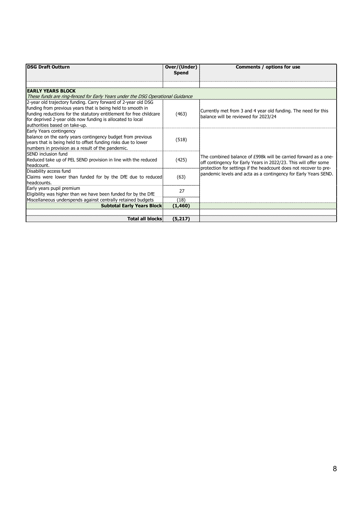| <b>DSG Draft Outturn</b>                                                               | Over/(Under)<br><b>Spend</b> | Comments / options for use                                        |
|----------------------------------------------------------------------------------------|------------------------------|-------------------------------------------------------------------|
|                                                                                        |                              |                                                                   |
| <b>EARLY YEARS BLOCK</b>                                                               |                              |                                                                   |
| These funds are ring-fenced for Early Years under the DSG Operational Guidance         |                              |                                                                   |
| 2-year old trajectory funding. Carry forward of 2-year old DSG                         |                              |                                                                   |
| funding from previous years that is being held to smooth in                            |                              | Currently met from 3 and 4 year old funding. The need for this    |
| funding reductions for the statutory entitlement for free childcare                    | (463)                        | balance will be reviewed for 2023/24                              |
| for deprived 2-year olds now funding is allocated to local                             |                              |                                                                   |
| lauthorities based on take-up.                                                         |                              |                                                                   |
| Early Years contingency<br>balance on the early years contingency budget from previous |                              |                                                                   |
| years that is being held to offset funding risks due to lower                          | (518)                        |                                                                   |
| numbers in provision as a result of the pandemic.                                      |                              |                                                                   |
| SEND inclusion fund                                                                    |                              |                                                                   |
| Reduced take up of PEL SEND provision in line with the reduced                         | (425)                        | The combined balance of £998k will be carried forward as a one-   |
| headcount.                                                                             |                              | off contingency for Early Years in 2022/23. This will offer some  |
| Disability access fund                                                                 |                              | protection for settings if the headcount does not recover to pre- |
| Claims were lower than funded for by the DfE due to reduced                            | (63)                         | pandemic levels and acta as a contingency for Early Years SEND.   |
| headcounts.                                                                            |                              |                                                                   |
| Early years pupil premium                                                              | 27                           |                                                                   |
| Eligibility was higher than we have been funded for by the DfE                         |                              |                                                                   |
| Miscellaneous underspends against centrally retained budgets                           | (18)                         |                                                                   |
| <b>Subtotal Early Years Block</b>                                                      | (1,460)                      |                                                                   |
|                                                                                        |                              |                                                                   |
| <b>Total all blocks</b>                                                                | (5,217)                      |                                                                   |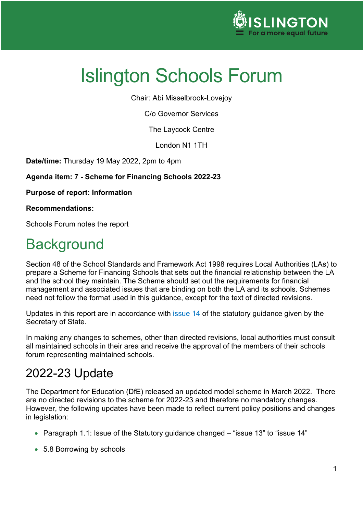

Chair: Abi Misselbrook-Lovejoy

C/o Governor Services

The Laycock Centre

London N1 1TH

**Date/time:** Thursday 19 May 2022, 2pm to 4pm

**Agenda item: 7 - Scheme for Financing Schools 2022-23**

**Purpose of report: Information**

**Recommendations:**

Schools Forum notes the report

# **Background**

Section 48 of the School Standards and Framework Act 1998 requires Local Authorities (LAs) to prepare a Scheme for Financing Schools that sets out the financial relationship between the LA and the school they maintain. The Scheme should set out the requirements for financial management and associated issues that are binding on both the LA and its schools. Schemes need not follow the format used in this guidance, except for the text of directed revisions.

Updates in this report are in accordance with *issue 14* of the statutory guidance given by the Secretary of State.

In making any changes to schemes, other than directed revisions, local authorities must consult all maintained schools in their area and receive the approval of the members of their schools forum representing maintained schools.

### 2022-23 Update

The Department for Education (DfE) released an updated model scheme in March 2022. There are no directed revisions to the scheme for 2022-23 and therefore no mandatory changes. However, the following updates have been made to reflect current policy positions and changes in legislation:

- Paragraph 1.1: Issue of the Statutory guidance changed "issue 13" to "issue 14"
- 5.8 Borrowing by schools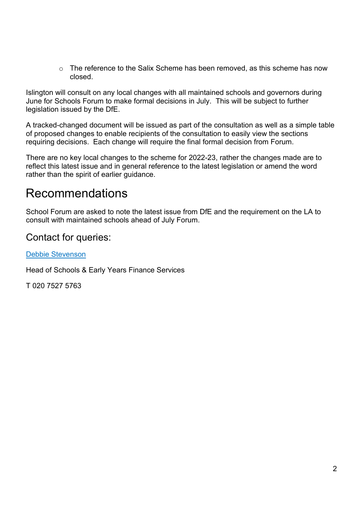$\circ$  The reference to the Salix Scheme has been removed, as this scheme has now closed.

Islington will consult on any local changes with all maintained schools and governors during June for Schools Forum to make formal decisions in July. This will be subject to further legislation issued by the DfE.

A tracked-changed document will be issued as part of the consultation as well as a simple table of proposed changes to enable recipients of the consultation to easily view the sections requiring decisions. Each change will require the final formal decision from Forum.

There are no key local changes to the scheme for 2022-23, rather the changes made are to reflect this latest issue and in general reference to the latest legislation or amend the word rather than the spirit of earlier guidance.

### Recommendations

School Forum are asked to note the latest issue from DfE and the requirement on the LA to consult with maintained schools ahead of July Forum.

#### Contact for queries:

#### [Debbie Stevenson](mailto:debra.stevenson@islington.gov.uk)

Head of Schools & Early Years Finance Services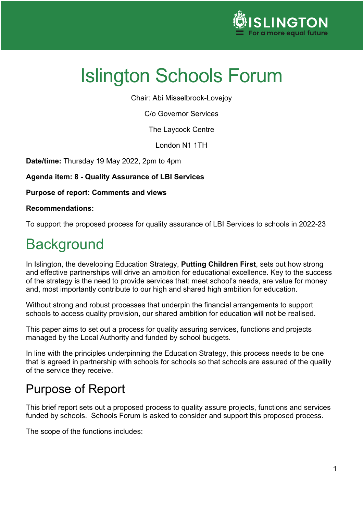

Chair: Abi Misselbrook-Lovejoy

C/o Governor Services

The Laycock Centre

London N1 1TH

**Date/time:** Thursday 19 May 2022, 2pm to 4pm

**Agenda item: 8 - Quality Assurance of LBI Services**

**Purpose of report: Comments and views**

#### **Recommendations:**

To support the proposed process for quality assurance of LBI Services to schools in 2022-23

# **Background**

In Islington, the developing Education Strategy, **Putting Children First**, sets out how strong and effective partnerships will drive an ambition for educational excellence. Key to the success of the strategy is the need to provide services that: meet school's needs, are value for money and, most importantly contribute to our high and shared high ambition for education.

Without strong and robust processes that underpin the financial arrangements to support schools to access quality provision, our shared ambition for education will not be realised.

This paper aims to set out a process for quality assuring services, functions and projects managed by the Local Authority and funded by school budgets.

In line with the principles underpinning the Education Strategy, this process needs to be one that is agreed in partnership with schools for schools so that schools are assured of the quality of the service they receive.

## Purpose of Report

This brief report sets out a proposed process to quality assure projects, functions and services funded by schools. Schools Forum is asked to consider and support this proposed process.

The scope of the functions includes: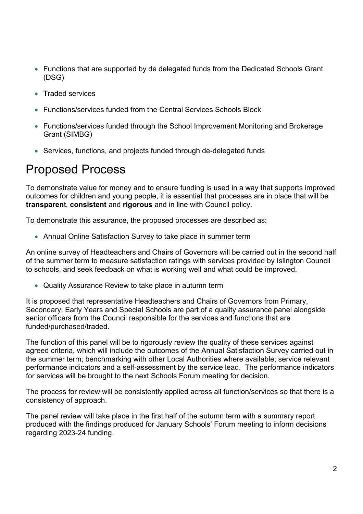- Functions that are supported by de delegated funds from the Dedicated Schools Grant (DSG)
- Traded services
- Functions/services funded from the Central Services Schools Block
- Functions/services funded through the School Improvement Monitoring and Brokerage Grant (SIMBG)
- Services, functions, and projects funded through de-delegated funds

## Proposed Process

To demonstrate value for money and to ensure funding is used in a way that supports improved outcomes for children and young people, it is essential that processes are in place that will be **transparen**t, **consistent** and **rigorous** and in line with Council policy.

To demonstrate this assurance, the proposed processes are described as:

• Annual Online Satisfaction Survey to take place in summer term

An online survey of Headteachers and Chairs of Governors will be carried out in the second half of the summer term to measure satisfaction ratings with services provided by Islington Council to schools, and seek feedback on what is working well and what could be improved.

• Quality Assurance Review to take place in autumn term

It is proposed that representative Headteachers and Chairs of Governors from Primary, Secondary, Early Years and Special Schools are part of a quality assurance panel alongside senior officers from the Council responsible for the services and functions that are funded/purchased/traded.

The function of this panel will be to rigorously review the quality of these services against agreed criteria, which will include the outcomes of the Annual Satisfaction Survey carried out in the summer term; benchmarking with other Local Authorities where available; service relevant performance indicators and a self-assessment by the service lead. The performance indicators for services will be brought to the next Schools Forum meeting for decision.

The process for review will be consistently applied across all function/services so that there is a consistency of approach.

The panel review will take place in the first half of the autumn term with a summary report produced with the findings produced for January Schools' Forum meeting to inform decisions regarding 2023-24 funding.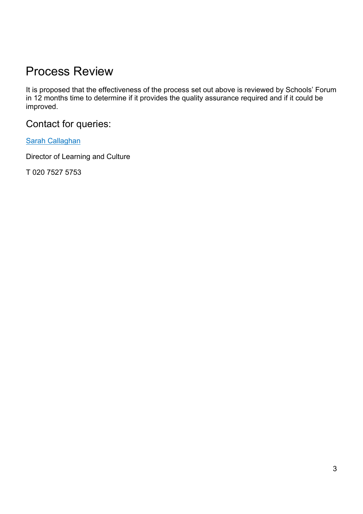## Process Review

It is proposed that the effectiveness of the process set out above is reviewed by Schools' Forum in 12 months time to determine if it provides the quality assurance required and if it could be improved.

Contact for queries:

[Sarah Callaghan](mailto:Sarah.callaghan@islington.gov.uk)

Director of Learning and Culture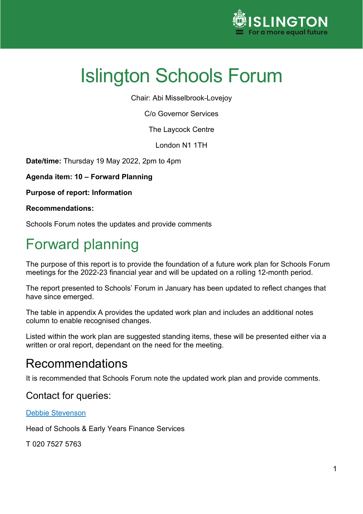

Chair: Abi Misselbrook-Lovejoy

C/o Governor Services

The Laycock Centre

London N1 1TH

**Date/time:** Thursday 19 May 2022, 2pm to 4pm

**Agenda item: 10 – Forward Planning**

**Purpose of report: Information** 

**Recommendations:**

Schools Forum notes the updates and provide comments

# Forward planning

The purpose of this report is to provide the foundation of a future work plan for Schools Forum meetings for the 2022-23 financial year and will be updated on a rolling 12-month period.

The report presented to Schools' Forum in January has been updated to reflect changes that have since emerged.

The table in appendix A provides the updated work plan and includes an additional notes column to enable recognised changes.

Listed within the work plan are suggested standing items, these will be presented either via a written or oral report, dependant on the need for the meeting.

### Recommendations

It is recommended that Schools Forum note the updated work plan and provide comments.

#### Contact for queries:

#### [Debbie Stevenson](mailto:Debra.stevenson@islington.gov.uk)

Head of Schools & Early Years Finance Services